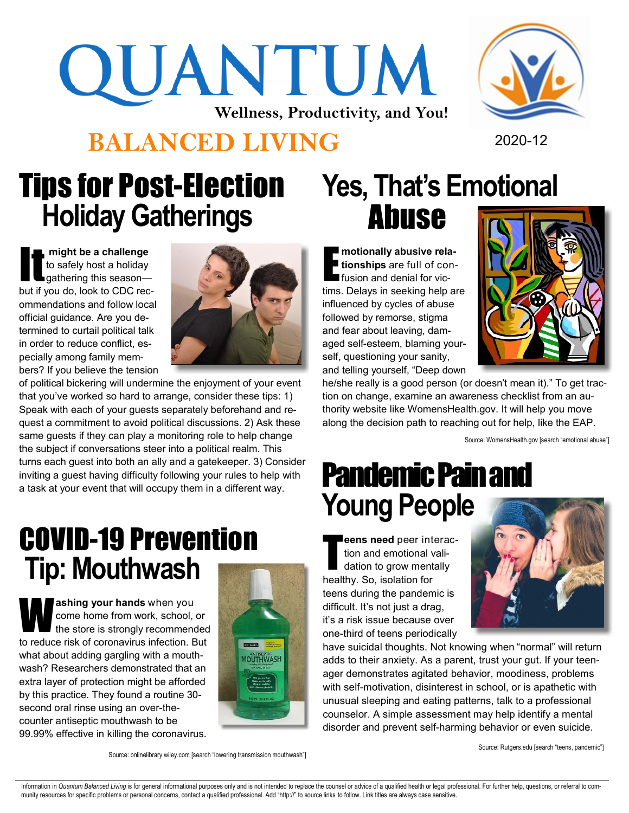# QUANTUM **Wellness, Productivity, and You!**

#### **BALANCED LIVING** 2020-12



## Tips for Post-Election **Holiday Gatherings**

might be a challenge<br>to safely host a holiday<br>gathering this season to safely host a holiday gathering this season but if you do, look to CDC recommendations and follow local official guidance. Are you determined to curtail political talk in order to reduce conflict, especially among family members? If you believe the tension



of political bickering will undermine the enjoyment of your event that you've worked so hard to arrange, consider these tips: 1) Speak with each of your guests separately beforehand and request a commitment to avoid political discussions. 2) Ask these same guests if they can play a monitoring role to help change the subject if conversations steer into a political realm. This turns each guest into both an ally and a gatekeeper. 3) Consider inviting a guest having difficulty following your rules to help with a task at your event that will occupy them in a different way.

#### COVID-19 Prevention **Tip: Mouthwash**

**W**<sup>a</sup> **ashing your hands** when you come home from work, school, or the store is strongly recommended to reduce risk of coronavirus infection. But what about adding gargling with a mouthwash? Researchers demonstrated that an extra layer of protection might be afforded by this practice. They found a routine 30 second oral rinse using an over-thecounter antiseptic mouthwash to be 99.99% effective in killing the coronavirus.



# **Yes, That's Emotional**  Abuse

E **motionally abusive relationships** are full of confusion and denial for victims. Delays in seeking help are influenced by cycles of abuse followed by remorse, stigma and fear about leaving, damaged self-esteem, blaming yourself, questioning your sanity, and telling yourself, "Deep down



he/she really is a good person (or doesn't mean it)." To get traction on change, examine an awareness checklist from an authority website like WomensHealth.gov. It will help you move along the decision path to reaching out for help, like the EAP.

Source: WomensHealth.gov [search "emotional abuse"]

#### Pandemic Pain and **Young People**

T **eens need** peer interaction and emotional validation to grow mentally healthy. So, isolation for teens during the pandemic is difficult. It's not just a drag, it's a risk issue because over one-third of teens periodically



have suicidal thoughts. Not knowing when "normal" will return adds to their anxiety. As a parent, trust your gut. If your teenager demonstrates agitated behavior, moodiness, problems with self-motivation, disinterest in school, or is apathetic with unusual sleeping and eating patterns, talk to a professional counselor. A simple assessment may help identify a mental disorder and prevent self-harming behavior or even suicide.

Source: Rutgers.edu [search "teens, pandemic"]

Source: onlinelibrary.wiley.com [search "lowering transmission mouthwash"]

Information in Quantum Balanced Living is for general informational purposes only and is not intended to replace the counsel or advice of a qualified health or legal professional. For further help, questions, or referral t munity resources for specific problems or personal concerns, contact a qualified professional. Add "http://" to source links to follow. Link titles are always case sensitive.